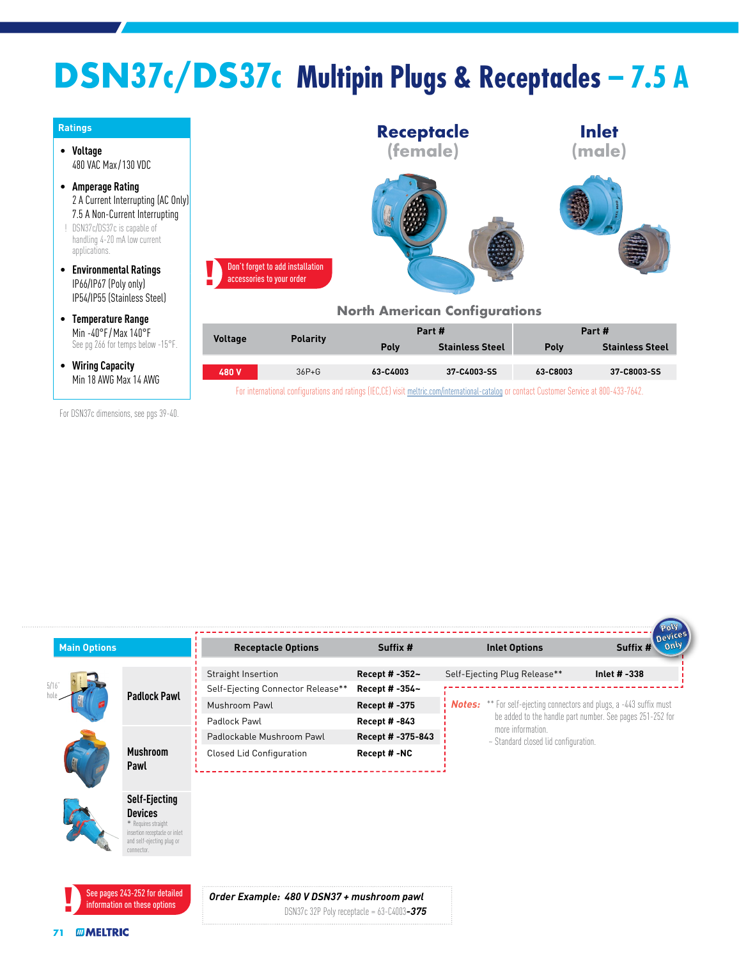## **DSN37c/DS37c Multipin Plugs & Receptacles – 7.5 A**



| <b>Main Options</b> |                                                                                                                                           | <b>Receptacle Options</b>                  | Suffix #                                                  | <b>Inlet Options</b>                                                          | Devices<br>Suffix #                                       |  |  |
|---------------------|-------------------------------------------------------------------------------------------------------------------------------------------|--------------------------------------------|-----------------------------------------------------------|-------------------------------------------------------------------------------|-----------------------------------------------------------|--|--|
| 5/16                | <b>Padlock Pawl</b>                                                                                                                       | <b>Straight Insertion</b>                  | Recept # $-352-$                                          | Self-Ejecting Plug Release**                                                  | Inlet # -338                                              |  |  |
|                     |                                                                                                                                           | Self-Ejecting Connector Release**          | Recept # -354~                                            |                                                                               |                                                           |  |  |
|                     |                                                                                                                                           | Mushroom Pawl                              | Recept # -375                                             | <b>i Notes:</b> ** For self-ejecting connectors and plugs, a -443 suffix must |                                                           |  |  |
|                     |                                                                                                                                           | Padlock Pawl                               | Recept # -843                                             | more information.                                                             | be added to the handle part number. See pages 251-252 for |  |  |
|                     | <b>Mushroom</b><br>Pawl                                                                                                                   | Padlockable Mushroom Pawl                  | Recept # -375-843<br>~ Standard closed lid configuration. |                                                                               |                                                           |  |  |
|                     |                                                                                                                                           | Closed Lid Configuration                   | Recept #-NC                                               |                                                                               |                                                           |  |  |
|                     | <b>Self-Ejecting</b><br><b>Devices</b><br>* Requires straight<br>insertion receptacle or inlet<br>and self-ejecting plug or<br>connector. |                                            |                                                           |                                                                               |                                                           |  |  |
|                     | See pages 243-252 for detailed<br>information on these options                                                                            | Order Example: 480 V DSN37 + mushroom pawl | DSN37c 32P Poly receptacle = $63 - C4003 - 375$           |                                                                               |                                                           |  |  |